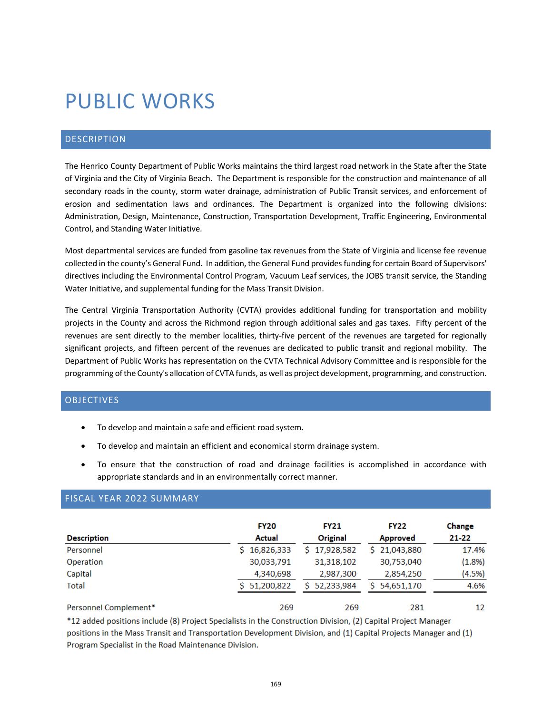# PUBLIC WORKS

# DESCRIPTION

The Henrico County Department of Public Works maintains the third largest road network in the State after the State of Virginia and the City of Virginia Beach. The Department is responsible for the construction and maintenance of all secondary roads in the county, storm water drainage, administration of Public Transit services, and enforcement of erosion and sedimentation laws and ordinances. The Department is organized into the following divisions: Administration, Design, Maintenance, Construction, Transportation Development, Traffic Engineering, Environmental Control, and Standing Water Initiative.

Most departmental services are funded from gasoline tax revenues from the State of Virginia and license fee revenue collected in the county's General Fund. In addition, the General Fund provides funding for certain Board of Supervisors' directives including the Environmental Control Program, Vacuum Leaf services, the JOBS transit service, the Standing Water Initiative, and supplemental funding for the Mass Transit Division.

The Central Virginia Transportation Authority (CVTA) provides additional funding for transportation and mobility projects in the County and across the Richmond region through additional sales and gas taxes. Fifty percent of the revenues are sent directly to the member localities, thirty-five percent of the revenues are targeted for regionally significant projects, and fifteen percent of the revenues are dedicated to public transit and regional mobility. The Department of Public Works has representation on the CVTA Technical Advisory Committee and is responsible for the programming of the County's allocation of CVTA funds, as well as project development, programming, and construction.

# OBJECTIVES

- To develop and maintain a safe and efficient road system.
- To develop and maintain an efficient and economical storm drainage system.
- To ensure that the construction of road and drainage facilities is accomplished in accordance with appropriate standards and in an environmentally correct manner.

|                       | <b>FY20</b>      | <b>FY21</b>      | <b>FY22</b>      | Change |
|-----------------------|------------------|------------------|------------------|--------|
| <b>Description</b>    | <b>Actual</b>    | Original         | <b>Approved</b>  | 21-22  |
| Personnel             | 16,826,333<br>S. | \$17,928,582     | \$21,043,880     | 17.4%  |
| Operation             | 30,033,791       | 31,318,102       | 30,753,040       | (1.8%) |
| Capital               | 4,340,698        | 2,987,300        | 2,854,250        | (4.5%) |
| <b>Total</b>          | \$51,200,822     | 52.233.984<br>S. | 54,651,170<br>S. | 4.6%   |
| Personnel Complement* | 269              | 269              | 281              | 12     |

# FISCAL YEAR 2022 SUMMARY

\*12 added positions include (8) Project Specialists in the Construction Division, (2) Capital Project Manager positions in the Mass Transit and Transportation Development Division, and (1) Capital Projects Manager and (1) Program Specialist in the Road Maintenance Division.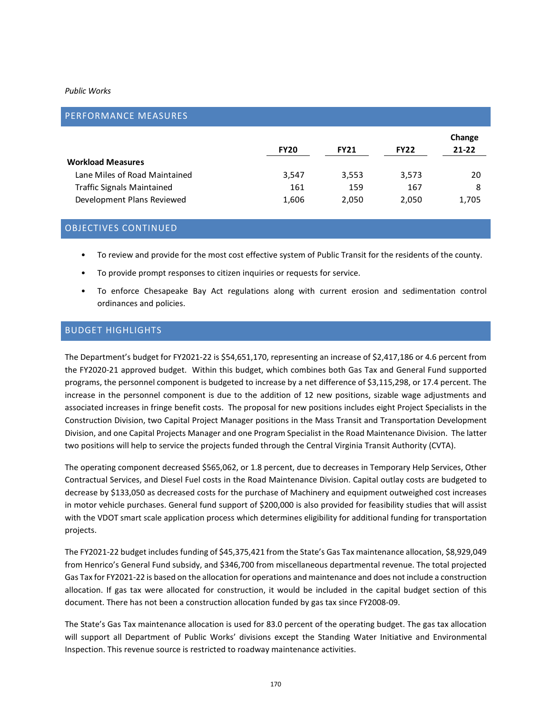| PERFORMANCE MEASURES              |             |             |             |                     |
|-----------------------------------|-------------|-------------|-------------|---------------------|
|                                   | <b>FY20</b> | <b>FY21</b> | <b>FY22</b> | Change<br>$21 - 22$ |
| <b>Workload Measures</b>          |             |             |             |                     |
| Lane Miles of Road Maintained     | 3,547       | 3,553       | 3,573       | 20                  |
| <b>Traffic Signals Maintained</b> | 161         | 159         | 167         | 8                   |
| Development Plans Reviewed        | 1,606       | 2.050       | 2,050       | 1,705               |

# OBJECTIVES CONTINUED

- To review and provide for the most cost effective system of Public Transit for the residents of the county.
- To provide prompt responses to citizen inquiries or requests for service.
- To enforce Chesapeake Bay Act regulations along with current erosion and sedimentation control ordinances and policies.

#### BUDGET HIGHLIGHTS

The Department's budget for FY2021-22 is \$54,651,170, representing an increase of \$2,417,186 or 4.6 percent from the FY2020-21 approved budget. Within this budget, which combines both Gas Tax and General Fund supported programs, the personnel component is budgeted to increase by a net difference of \$3,115,298, or 17.4 percent. The increase in the personnel component is due to the addition of 12 new positions, sizable wage adjustments and associated increases in fringe benefit costs. The proposal for new positions includes eight Project Specialists in the Construction Division, two Capital Project Manager positions in the Mass Transit and Transportation Development Division, and one Capital Projects Manager and one Program Specialist in the Road Maintenance Division. The latter two positions will help to service the projects funded through the Central Virginia Transit Authority (CVTA).

The operating component decreased \$565,062, or 1.8 percent, due to decreases in Temporary Help Services, Other Contractual Services, and Diesel Fuel costs in the Road Maintenance Division. Capital outlay costs are budgeted to decrease by \$133,050 as decreased costs for the purchase of Machinery and equipment outweighed cost increases in motor vehicle purchases. General fund support of \$200,000 is also provided for feasibility studies that will assist with the VDOT smart scale application process which determines eligibility for additional funding for transportation projects.

The FY2021-22 budget includes funding of \$45,375,421 from the State's Gas Tax maintenance allocation, \$8,929,049 from Henrico's General Fund subsidy, and \$346,700 from miscellaneous departmental revenue. The total projected Gas Tax for FY2021-22 is based on the allocation for operations and maintenance and does not include a construction allocation. If gas tax were allocated for construction, it would be included in the capital budget section of this document. There has not been a construction allocation funded by gas tax since FY2008-09.

The State's Gas Tax maintenance allocation is used for 83.0 percent of the operating budget. The gas tax allocation will support all Department of Public Works' divisions except the Standing Water Initiative and Environmental Inspection. This revenue source is restricted to roadway maintenance activities.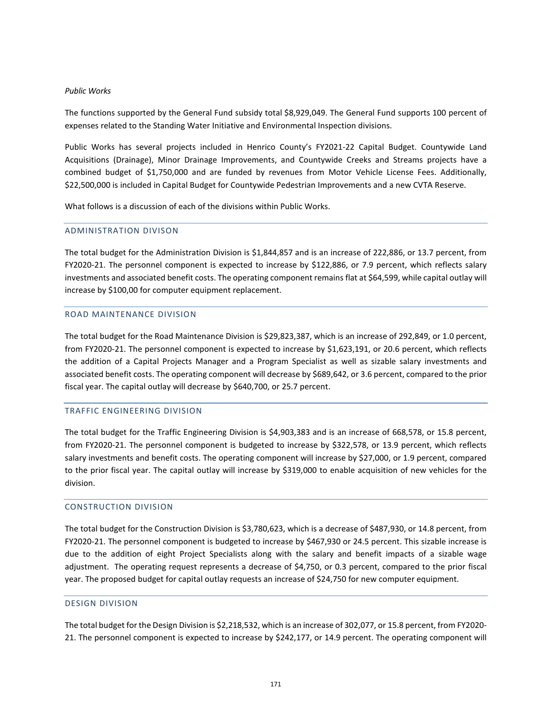The functions supported by the General Fund subsidy total \$8,929,049. The General Fund supports 100 percent of expenses related to the Standing Water Initiative and Environmental Inspection divisions.

Public Works has several projects included in Henrico County's FY2021-22 Capital Budget. Countywide Land Acquisitions (Drainage), Minor Drainage Improvements, and Countywide Creeks and Streams projects have a combined budget of \$1,750,000 and are funded by revenues from Motor Vehicle License Fees. Additionally, \$22,500,000 is included in Capital Budget for Countywide Pedestrian Improvements and a new CVTA Reserve.

What follows is a discussion of each of the divisions within Public Works.

#### ADMINISTRATION DIVISON

The total budget for the Administration Division is \$1,844,857 and is an increase of 222,886, or 13.7 percent, from FY2020-21. The personnel component is expected to increase by \$122,886, or 7.9 percent, which reflects salary investments and associated benefit costs. The operating component remains flat at \$64,599, while capital outlay will increase by \$100,00 for computer equipment replacement.

#### ROAD MAINTENANCE DIVISION

The total budget for the Road Maintenance Division is \$29,823,387, which is an increase of 292,849, or 1.0 percent, from FY2020-21. The personnel component is expected to increase by \$1,623,191, or 20.6 percent, which reflects the addition of a Capital Projects Manager and a Program Specialist as well as sizable salary investments and associated benefit costs. The operating component will decrease by \$689,642, or 3.6 percent, compared to the prior fiscal year. The capital outlay will decrease by \$640,700, or 25.7 percent.

# TRAFFIC ENGINEERING DIVISION

The total budget for the Traffic Engineering Division is \$4,903,383 and is an increase of 668,578, or 15.8 percent, from FY2020-21. The personnel component is budgeted to increase by \$322,578, or 13.9 percent, which reflects salary investments and benefit costs. The operating component will increase by \$27,000, or 1.9 percent, compared to the prior fiscal year. The capital outlay will increase by \$319,000 to enable acquisition of new vehicles for the division.

# CONSTRUCTION DIVISION

The total budget for the Construction Division is \$3,780,623, which is a decrease of \$487,930, or 14.8 percent, from FY2020-21. The personnel component is budgeted to increase by \$467,930 or 24.5 percent. This sizable increase is due to the addition of eight Project Specialists along with the salary and benefit impacts of a sizable wage adjustment. The operating request represents a decrease of \$4,750, or 0.3 percent, compared to the prior fiscal year. The proposed budget for capital outlay requests an increase of \$24,750 for new computer equipment.

#### DESIGN DIVISION

The total budget for the Design Division is \$2,218,532, which is an increase of 302,077, or 15.8 percent, from FY2020- 21. The personnel component is expected to increase by \$242,177, or 14.9 percent. The operating component will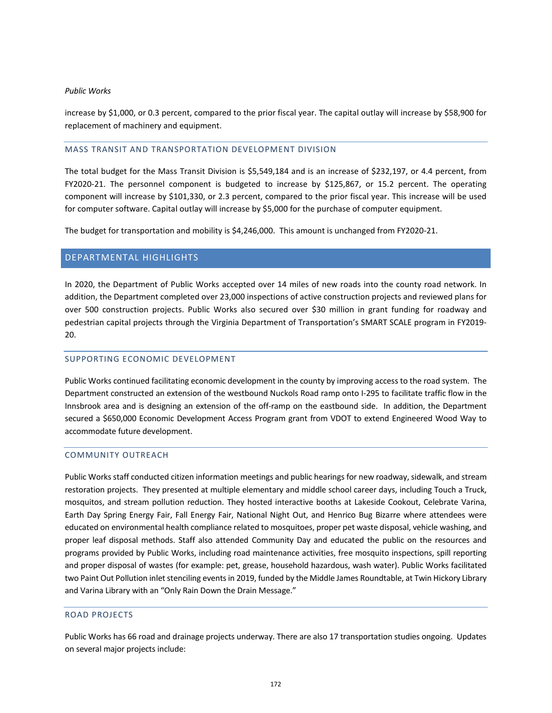increase by \$1,000, or 0.3 percent, compared to the prior fiscal year. The capital outlay will increase by \$58,900 for replacement of machinery and equipment.

#### MASS TRANSIT AND TRANSPORTATION DEVELOPMENT DIVISION

The total budget for the Mass Transit Division is \$5,549,184 and is an increase of \$232,197, or 4.4 percent, from FY2020-21. The personnel component is budgeted to increase by \$125,867, or 15.2 percent. The operating component will increase by \$101,330, or 2.3 percent, compared to the prior fiscal year. This increase will be used for computer software. Capital outlay will increase by \$5,000 for the purchase of computer equipment.

The budget for transportation and mobility is \$4,246,000. This amount is unchanged from FY2020-21.

# DEPARTMENTAL HIGHLIGHTS

In 2020, the Department of Public Works accepted over 14 miles of new roads into the county road network. In addition, the Department completed over 23,000 inspections of active construction projects and reviewed plans for over 500 construction projects. Public Works also secured over \$30 million in grant funding for roadway and pedestrian capital projects through the Virginia Department of Transportation's SMART SCALE program in FY2019- 20.

# SUPPORTING ECONOMIC DEVELOPMENT

Public Works continued facilitating economic development in the county by improving access to the road system. The Department constructed an extension of the westbound Nuckols Road ramp onto I-295 to facilitate traffic flow in the Innsbrook area and is designing an extension of the off-ramp on the eastbound side. In addition, the Department secured a \$650,000 Economic Development Access Program grant from VDOT to extend Engineered Wood Way to accommodate future development.

# COMMUNITY OUTREACH

Public Works staff conducted citizen information meetings and public hearings for new roadway, sidewalk, and stream restoration projects. They presented at multiple elementary and middle school career days, including Touch a Truck, mosquitos, and stream pollution reduction. They hosted interactive booths at Lakeside Cookout, Celebrate Varina, Earth Day Spring Energy Fair, Fall Energy Fair, National Night Out, and Henrico Bug Bizarre where attendees were educated on environmental health compliance related to mosquitoes, proper pet waste disposal, vehicle washing, and proper leaf disposal methods. Staff also attended Community Day and educated the public on the resources and programs provided by Public Works, including road maintenance activities, free mosquito inspections, spill reporting and proper disposal of wastes (for example: pet, grease, household hazardous, wash water). Public Works facilitated two Paint Out Pollution inlet stenciling events in 2019, funded by the Middle James Roundtable, at Twin Hickory Library and Varina Library with an "Only Rain Down the Drain Message."

#### ROAD PROJECTS

Public Works has 66 road and drainage projects underway. There are also 17 transportation studies ongoing. Updates on several major projects include: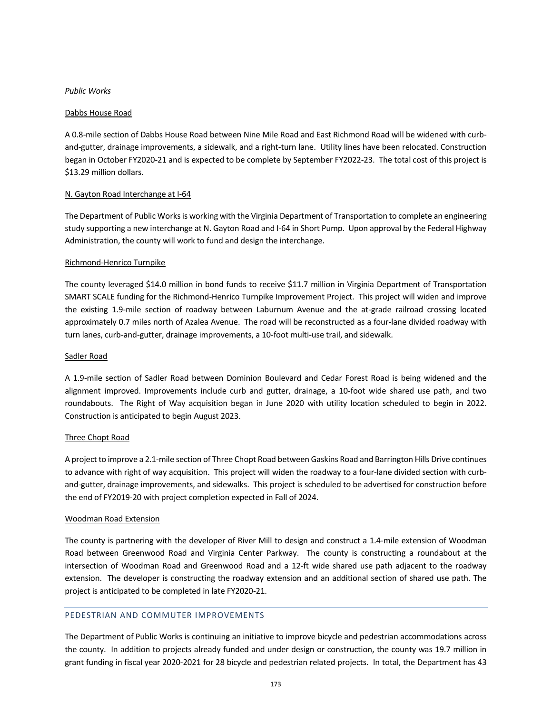#### Dabbs House Road

A 0.8-mile section of Dabbs House Road between Nine Mile Road and East Richmond Road will be widened with curband-gutter, drainage improvements, a sidewalk, and a right-turn lane. Utility lines have been relocated. Construction began in October FY2020-21 and is expected to be complete by September FY2022-23. The total cost of this project is \$13.29 million dollars.

#### N. Gayton Road Interchange at I-64

The Department of Public Works is working with the Virginia Department of Transportation to complete an engineering study supporting a new interchange at N. Gayton Road and I-64 in Short Pump. Upon approval by the Federal Highway Administration, the county will work to fund and design the interchange.

#### Richmond-Henrico Turnpike

The county leveraged \$14.0 million in bond funds to receive \$11.7 million in Virginia Department of Transportation SMART SCALE funding for the Richmond-Henrico Turnpike Improvement Project. This project will widen and improve the existing 1.9-mile section of roadway between Laburnum Avenue and the at-grade railroad crossing located approximately 0.7 miles north of Azalea Avenue. The road will be reconstructed as a four-lane divided roadway with turn lanes, curb-and-gutter, drainage improvements, a 10-foot multi-use trail, and sidewalk.

#### Sadler Road

A 1.9-mile section of Sadler Road between Dominion Boulevard and Cedar Forest Road is being widened and the alignment improved. Improvements include curb and gutter, drainage, a 10-foot wide shared use path, and two roundabouts. The Right of Way acquisition began in June 2020 with utility location scheduled to begin in 2022. Construction is anticipated to begin August 2023.

#### Three Chopt Road

A project to improve a 2.1-mile section of Three Chopt Road between Gaskins Road and Barrington Hills Drive continues to advance with right of way acquisition. This project will widen the roadway to a four-lane divided section with curband-gutter, drainage improvements, and sidewalks. This project is scheduled to be advertised for construction before the end of FY2019-20 with project completion expected in Fall of 2024.

# Woodman Road Extension

The county is partnering with the developer of River Mill to design and construct a 1.4-mile extension of Woodman Road between Greenwood Road and Virginia Center Parkway. The county is constructing a roundabout at the intersection of Woodman Road and Greenwood Road and a 12-ft wide shared use path adjacent to the roadway extension. The developer is constructing the roadway extension and an additional section of shared use path. The project is anticipated to be completed in late FY2020-21.

#### PEDESTRIAN AND COMMUTER IMPROVEMENTS

The Department of Public Works is continuing an initiative to improve bicycle and pedestrian accommodations across the county. In addition to projects already funded and under design or construction, the county was 19.7 million in grant funding in fiscal year 2020-2021 for 28 bicycle and pedestrian related projects. In total, the Department has 43